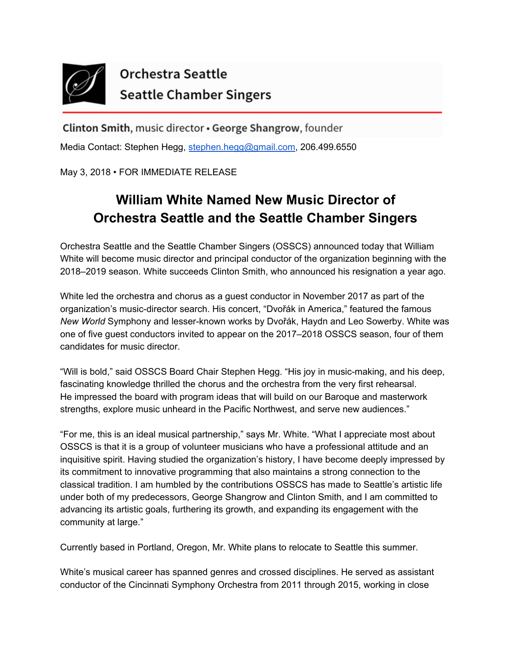

## Orchestra Seattle **Seattle Chamber Singers**

Clinton Smith, music director • George Shangrow, founder Media Contact: Stephen Hegg, [stephen.hegg@gmail.com](mailto:stephen.hegg@gmail.com), 206.499.6550

May 3, 2018 • FOR IMMEDIATE RELEASE

## **William White Named New Music Director of Orchestra Seattle and the Seattle Chamber Singers**

Orchestra Seattle and the Seattle Chamber Singers (OSSCS) announced today that William White will become music director and principal conductor of the organization beginning with the 2018–2019 season. White succeeds Clinton Smith, who announced his resignation a year ago.

White led the orchestra and chorus as a guest conductor in November 2017 as part of the organization's music-director search. His concert, "Dvořák in America," featured the famous *New World* Symphony and lesser-known works by Dvořák, Haydn and Leo Sowerby. White was one of five guest conductors invited to appear on the 2017–2018 OSSCS season, four of them candidates for music director.

"Will is bold," said OSSCS Board Chair Stephen Hegg. "His joy in music-making, and his deep, fascinating knowledge thrilled the chorus and the orchestra from the very first rehearsal. He impressed the board with program ideas that will build on our Baroque and masterwork strengths, explore music unheard in the Pacific Northwest, and serve new audiences."

"For me, this is an ideal musical partnership," says Mr. White. "What I appreciate most about OSSCS is that it is a group of volunteer musicians who have a professional attitude and an inquisitive spirit. Having studied the organization's history, I have become deeply impressed by its commitment to innovative programming that also maintains a strong connection to the classical tradition. I am humbled by the contributions OSSCS has made to Seattle's artistic life under both of my predecessors, George Shangrow and Clinton Smith, and I am committed to advancing its artistic goals, furthering its growth, and expanding its engagement with the community at large."

Currently based in Portland, Oregon, Mr. White plans to relocate to Seattle this summer.

White's musical career has spanned genres and crossed disciplines. He served as assistant conductor of the Cincinnati Symphony Orchestra from 2011 through 2015, working in close